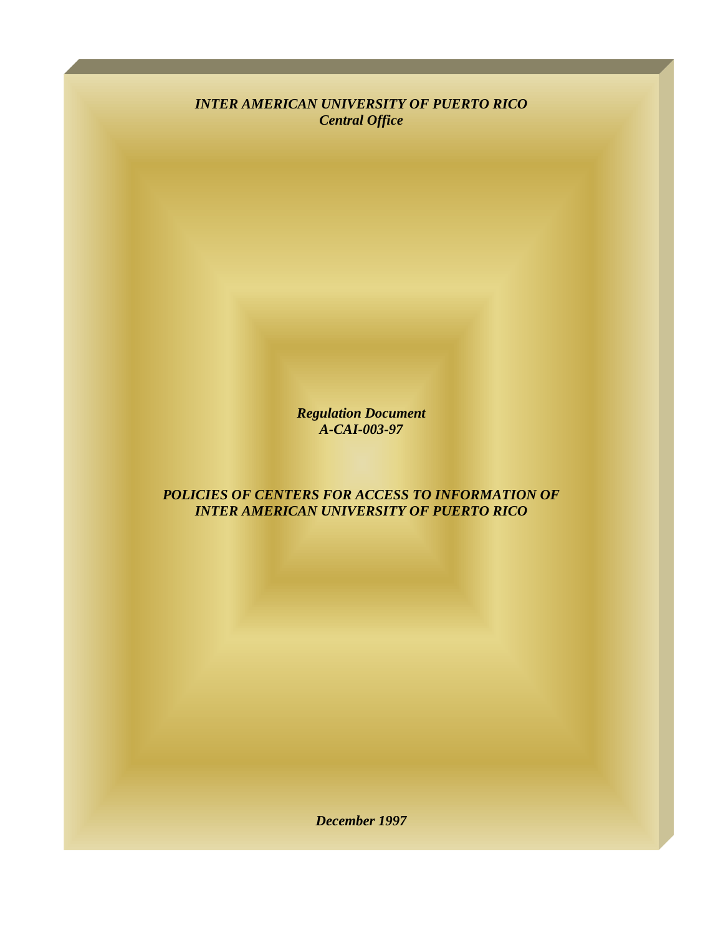*INTER AMERICAN UNIVERSITY OF PUERTO RICO Central Office* 

> *Regulation Document A-CAI-003-97*

*POLICIES OF CENTERS FOR ACCESS TO INFORMATION OF INTER AMERICAN UNIVERSITY OF PUERTO RICO* 

*December 1997*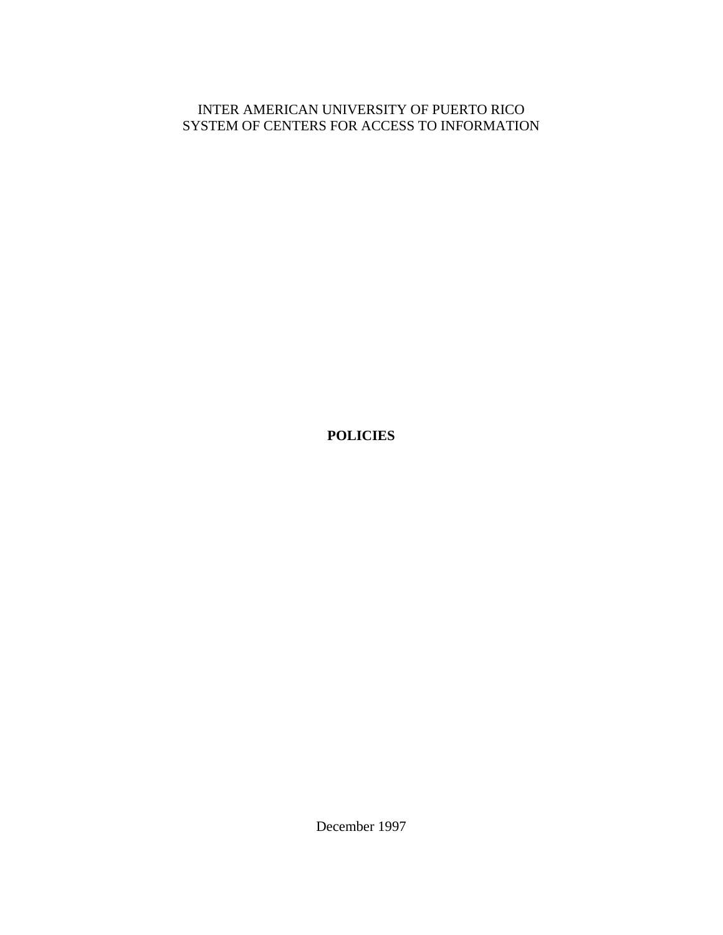# INTER AMERICAN UNIVERSITY OF PUERTO RICO SYSTEM OF CENTERS FOR ACCESS TO INFORMATION

**POLICIES** 

December 1997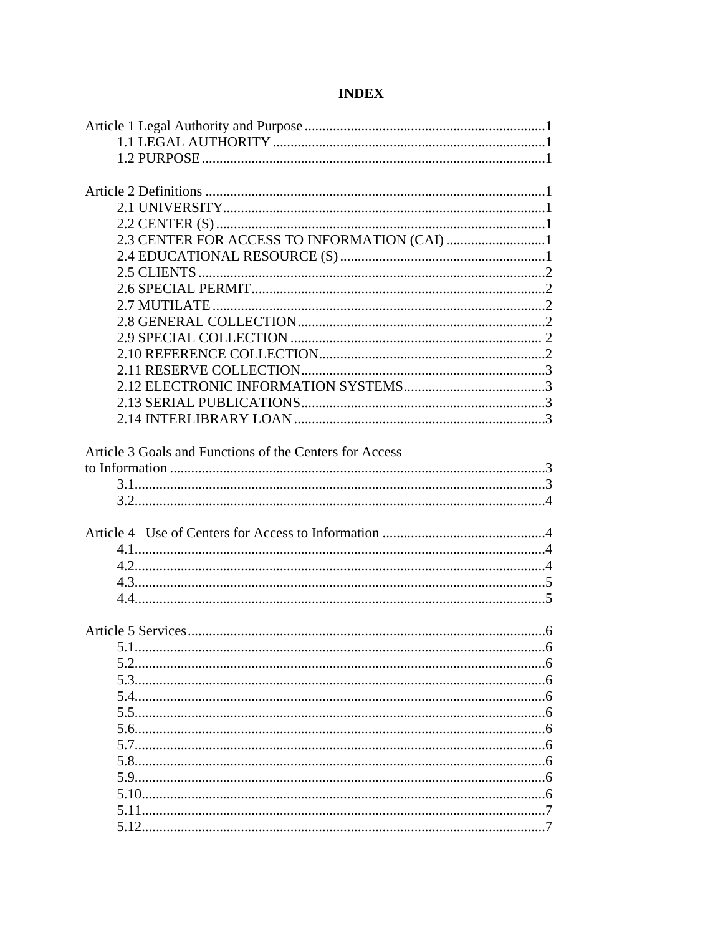# **INDEX**

| 2.3 CENTER FOR ACCESS TO INFORMATION (CAI) 1            |  |
|---------------------------------------------------------|--|
|                                                         |  |
|                                                         |  |
|                                                         |  |
|                                                         |  |
|                                                         |  |
|                                                         |  |
|                                                         |  |
|                                                         |  |
|                                                         |  |
|                                                         |  |
|                                                         |  |
|                                                         |  |
|                                                         |  |
| Article 3 Goals and Functions of the Centers for Access |  |
|                                                         |  |
|                                                         |  |
|                                                         |  |
|                                                         |  |
|                                                         |  |
|                                                         |  |
|                                                         |  |
|                                                         |  |
|                                                         |  |
|                                                         |  |
|                                                         |  |
|                                                         |  |
| 5.1                                                     |  |
|                                                         |  |
|                                                         |  |
|                                                         |  |
|                                                         |  |
|                                                         |  |
|                                                         |  |
|                                                         |  |
|                                                         |  |
|                                                         |  |
|                                                         |  |
|                                                         |  |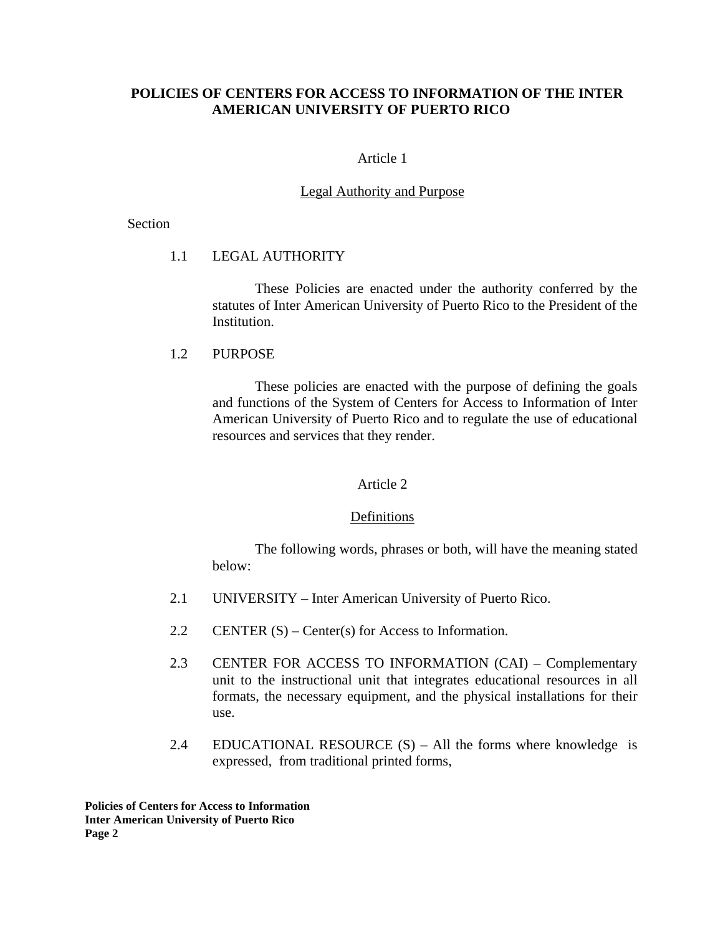# **POLICIES OF CENTERS FOR ACCESS TO INFORMATION OF THE INTER AMERICAN UNIVERSITY OF PUERTO RICO**

# Article 1

# Legal Authority and Purpose

#### Section

# 1.1 LEGAL AUTHORITY

These Policies are enacted under the authority conferred by the statutes of Inter American University of Puerto Rico to the President of the Institution.

# 1.2 PURPOSE

These policies are enacted with the purpose of defining the goals and functions of the System of Centers for Access to Information of Inter American University of Puerto Rico and to regulate the use of educational resources and services that they render.

## Article 2

## Definitions

The following words, phrases or both, will have the meaning stated below:

- 2.1 UNIVERSITY Inter American University of Puerto Rico.
- 2.2 CENTER (S) Center(s) for Access to Information.
- 2.3 CENTER FOR ACCESS TO INFORMATION (CAI) Complementary unit to the instructional unit that integrates educational resources in all formats, the necessary equipment, and the physical installations for their use.
- 2.4 EDUCATIONAL RESOURCE (S) All the forms where knowledge is expressed, from traditional printed forms,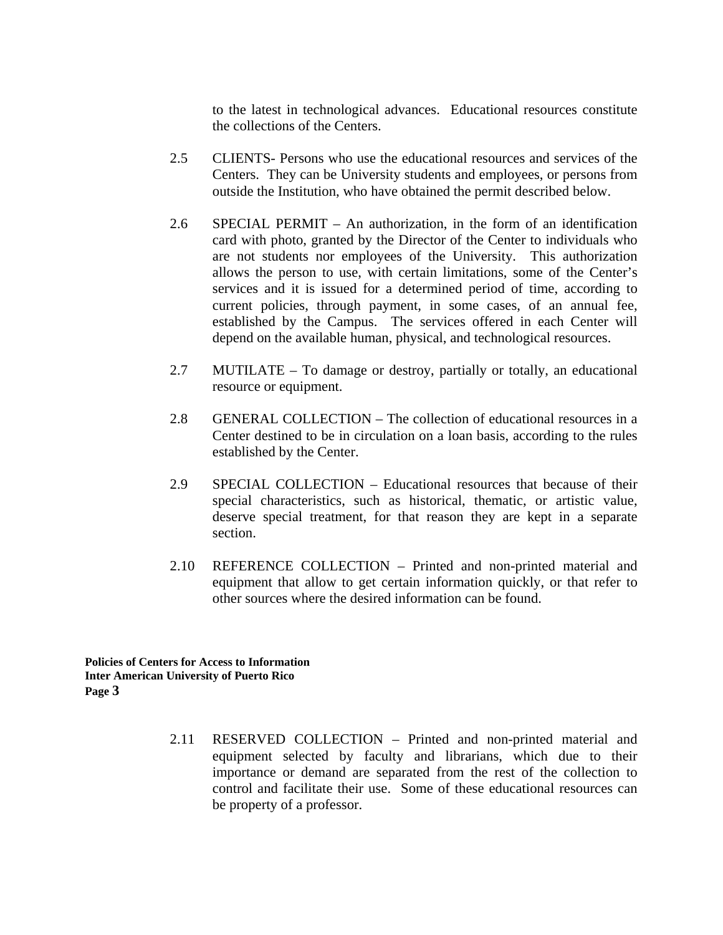to the latest in technological advances. Educational resources constitute the collections of the Centers.

- 2.5 CLIENTS- Persons who use the educational resources and services of the Centers. They can be University students and employees, or persons from outside the Institution, who have obtained the permit described below.
- 2.6 SPECIAL PERMIT An authorization, in the form of an identification card with photo, granted by the Director of the Center to individuals who are not students nor employees of the University. This authorization allows the person to use, with certain limitations, some of the Center's services and it is issued for a determined period of time, according to current policies, through payment, in some cases, of an annual fee, established by the Campus. The services offered in each Center will depend on the available human, physical, and technological resources.
- 2.7 MUTILATE To damage or destroy, partially or totally, an educational resource or equipment.
- 2.8 GENERAL COLLECTION The collection of educational resources in a Center destined to be in circulation on a loan basis, according to the rules established by the Center.
- 2.9 SPECIAL COLLECTION Educational resources that because of their special characteristics, such as historical, thematic, or artistic value, deserve special treatment, for that reason they are kept in a separate section.
- 2.10 REFERENCE COLLECTION Printed and non-printed material and equipment that allow to get certain information quickly, or that refer to other sources where the desired information can be found.

**Policies of Centers for Access to Information Inter American University of Puerto Rico Page 3** 

> 2.11 RESERVED COLLECTION – Printed and non-printed material and equipment selected by faculty and librarians, which due to their importance or demand are separated from the rest of the collection to control and facilitate their use. Some of these educational resources can be property of a professor.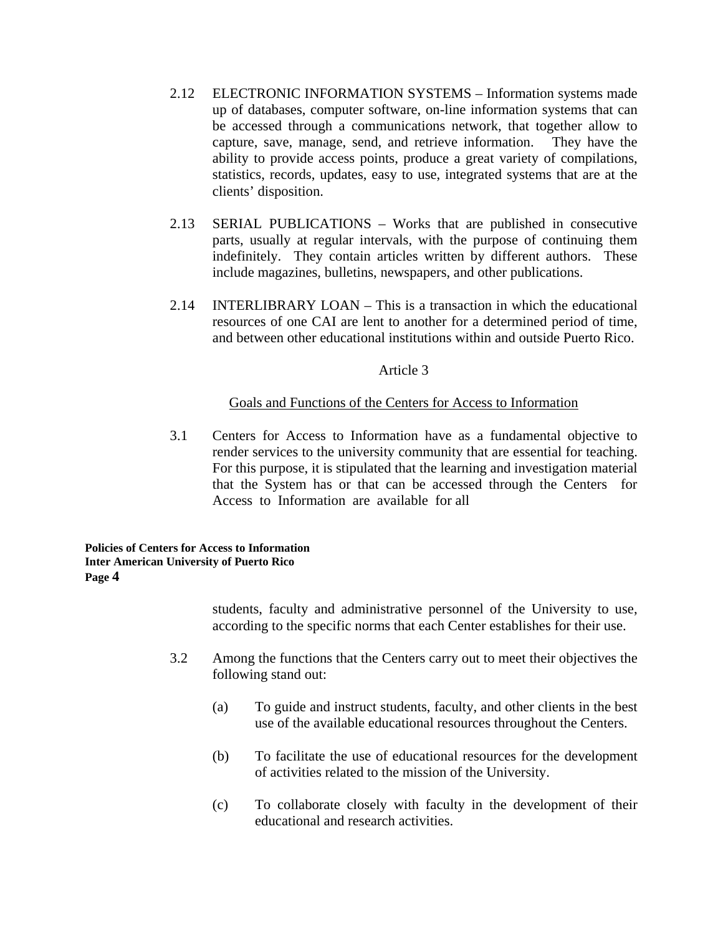- 2.12 ELECTRONIC INFORMATION SYSTEMS Information systems made up of databases, computer software, on-line information systems that can be accessed through a communications network, that together allow to capture, save, manage, send, and retrieve information. They have the ability to provide access points, produce a great variety of compilations, statistics, records, updates, easy to use, integrated systems that are at the clients' disposition.
- 2.13 SERIAL PUBLICATIONS Works that are published in consecutive parts, usually at regular intervals, with the purpose of continuing them indefinitely. They contain articles written by different authors. These include magazines, bulletins, newspapers, and other publications.
- 2.14 INTERLIBRARY LOAN This is a transaction in which the educational resources of one CAI are lent to another for a determined period of time, and between other educational institutions within and outside Puerto Rico.

# Article 3

# Goals and Functions of the Centers for Access to Information

3.1 Centers for Access to Information have as a fundamental objective to render services to the university community that are essential for teaching. For this purpose, it is stipulated that the learning and investigation material that the System has or that can be accessed through the Centers for Access to Information are available for all

#### **Policies of Centers for Access to Information Inter American University of Puerto Rico Page 4**

students, faculty and administrative personnel of the University to use, according to the specific norms that each Center establishes for their use.

- 3.2 Among the functions that the Centers carry out to meet their objectives the following stand out:
	- (a) To guide and instruct students, faculty, and other clients in the best use of the available educational resources throughout the Centers.
	- (b) To facilitate the use of educational resources for the development of activities related to the mission of the University.
	- (c) To collaborate closely with faculty in the development of their educational and research activities.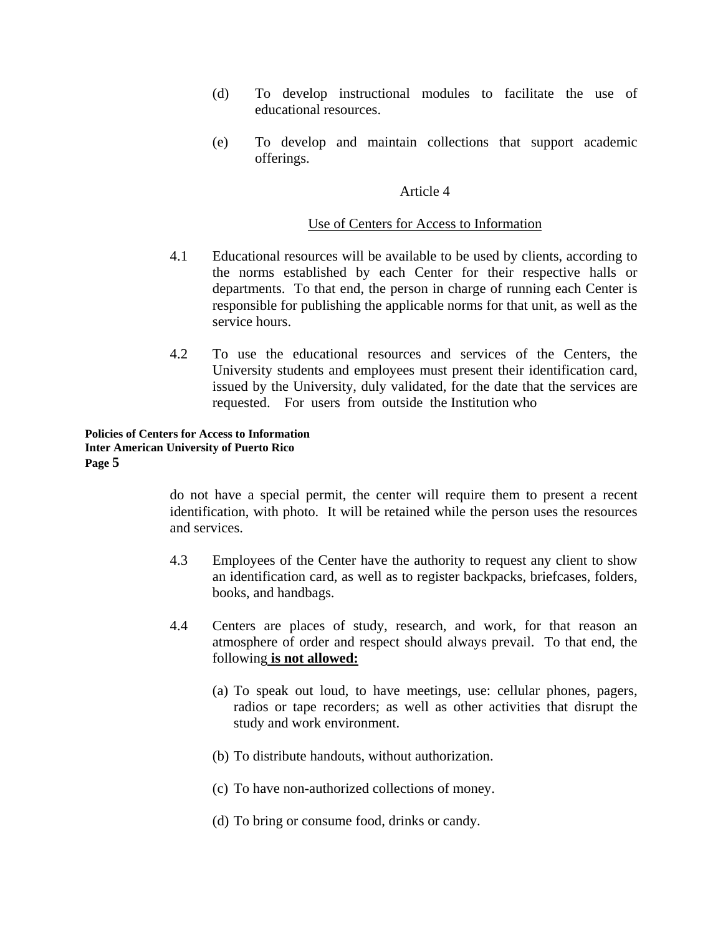- (d) To develop instructional modules to facilitate the use of educational resources.
- (e) To develop and maintain collections that support academic offerings.

#### Article 4

#### Use of Centers for Access to Information

- 4.1 Educational resources will be available to be used by clients, according to the norms established by each Center for their respective halls or departments. To that end, the person in charge of running each Center is responsible for publishing the applicable norms for that unit, as well as the service hours.
- 4.2 To use the educational resources and services of the Centers, the University students and employees must present their identification card, issued by the University, duly validated, for the date that the services are requested. For users from outside the Institution who

#### **Policies of Centers for Access to Information Inter American University of Puerto Rico Page 5**

do not have a special permit, the center will require them to present a recent identification, with photo. It will be retained while the person uses the resources and services.

- 4.3 Employees of the Center have the authority to request any client to show an identification card, as well as to register backpacks, briefcases, folders, books, and handbags.
- 4.4 Centers are places of study, research, and work, for that reason an atmosphere of order and respect should always prevail. To that end, the following **is not allowed:**
	- (a) To speak out loud, to have meetings, use: cellular phones, pagers, radios or tape recorders; as well as other activities that disrupt the study and work environment.
	- (b) To distribute handouts, without authorization.
	- (c) To have non-authorized collections of money.
	- (d) To bring or consume food, drinks or candy.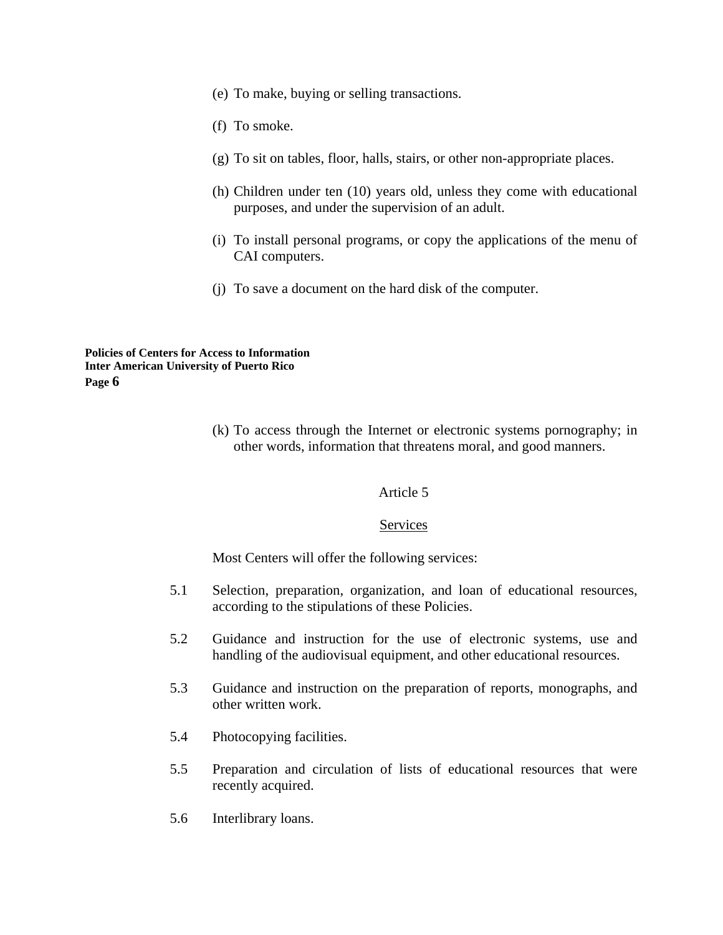- (e) To make, buying or selling transactions.
- (f) To smoke.
- (g) To sit on tables, floor, halls, stairs, or other non-appropriate places.
- (h) Children under ten (10) years old, unless they come with educational purposes, and under the supervision of an adult.
- (i) To install personal programs, or copy the applications of the menu of CAI computers.
- (j) To save a document on the hard disk of the computer.

(k) To access through the Internet or electronic systems pornography; in other words, information that threatens moral, and good manners.

## Article 5

# Services

Most Centers will offer the following services:

- 5.1 Selection, preparation, organization, and loan of educational resources, according to the stipulations of these Policies.
- 5.2 Guidance and instruction for the use of electronic systems, use and handling of the audiovisual equipment, and other educational resources.
- 5.3 Guidance and instruction on the preparation of reports, monographs, and other written work.
- 5.4 Photocopying facilities.
- 5.5 Preparation and circulation of lists of educational resources that were recently acquired.
- 5.6 Interlibrary loans.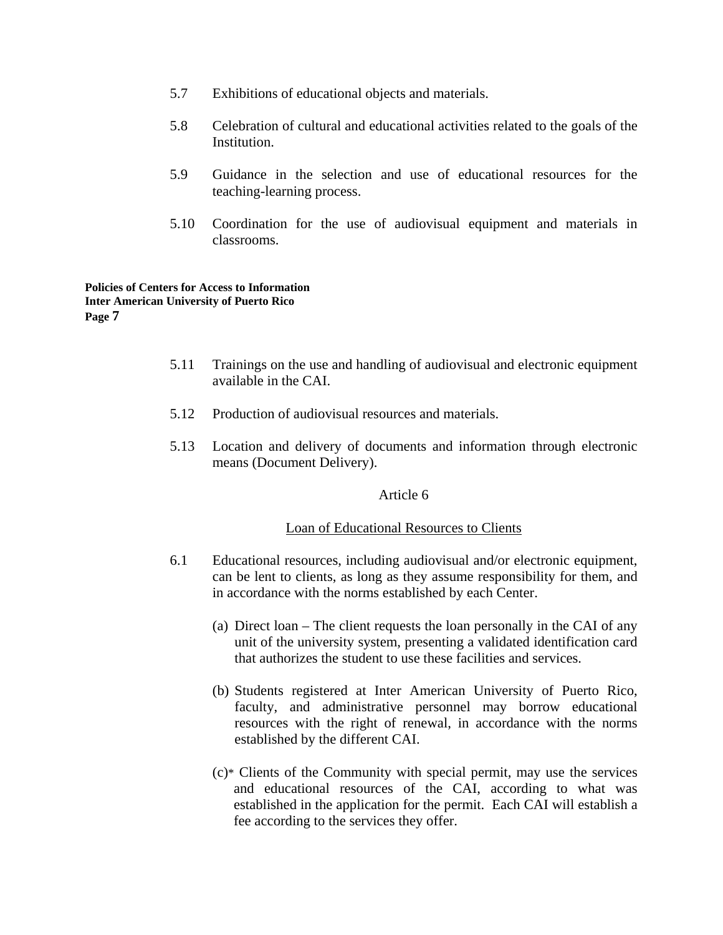- 5.7 Exhibitions of educational objects and materials.
- 5.8 Celebration of cultural and educational activities related to the goals of the Institution.
- 5.9 Guidance in the selection and use of educational resources for the teaching-learning process.
- 5.10 Coordination for the use of audiovisual equipment and materials in classrooms.

- 5.11 Trainings on the use and handling of audiovisual and electronic equipment available in the CAI.
- 5.12 Production of audiovisual resources and materials.
- 5.13 Location and delivery of documents and information through electronic means (Document Delivery).

## Article 6

## Loan of Educational Resources to Clients

- 6.1 Educational resources, including audiovisual and/or electronic equipment, can be lent to clients, as long as they assume responsibility for them, and in accordance with the norms established by each Center.
	- (a) Direct loan The client requests the loan personally in the CAI of any unit of the university system, presenting a validated identification card that authorizes the student to use these facilities and services.
	- (b) Students registered at Inter American University of Puerto Rico, faculty, and administrative personnel may borrow educational resources with the right of renewal, in accordance with the norms established by the different CAI.
	- (c)\* Clients of the Community with special permit, may use the services and educational resources of the CAI, according to what was established in the application for the permit. Each CAI will establish a fee according to the services they offer.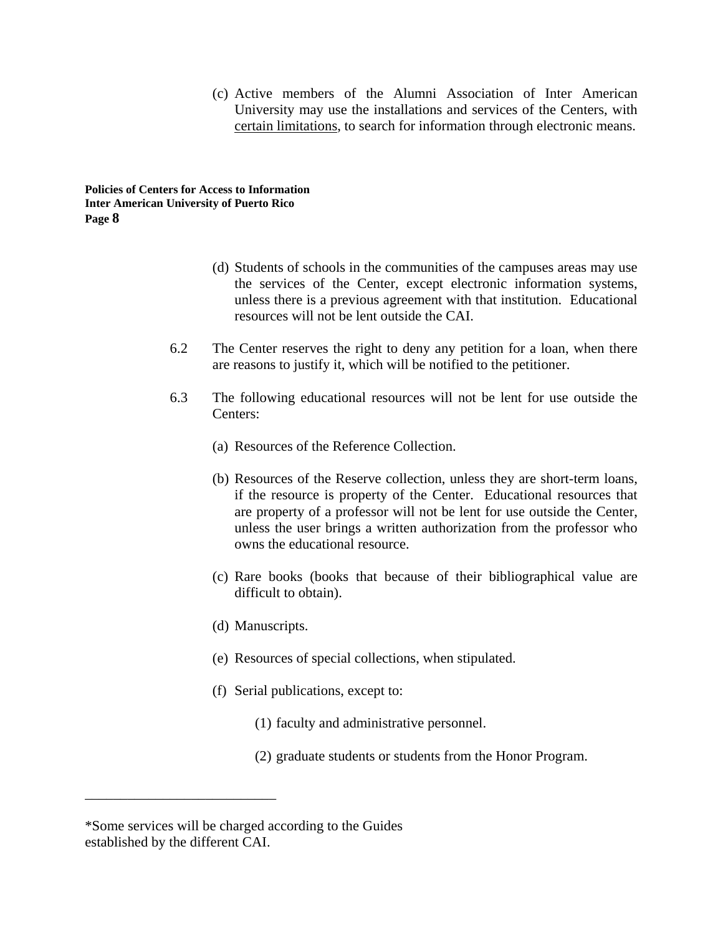(c) Active members of the Alumni Association of Inter American University may use the installations and services of the Centers, with certain limitations, to search for information through electronic means.

**Policies of Centers for Access to Information Inter American University of Puerto Rico Page 8** 

- (d) Students of schools in the communities of the campuses areas may use the services of the Center, except electronic information systems, unless there is a previous agreement with that institution. Educational resources will not be lent outside the CAI.
- 6.2 The Center reserves the right to deny any petition for a loan, when there are reasons to justify it, which will be notified to the petitioner.
- 6.3 The following educational resources will not be lent for use outside the Centers:
	- (a) Resources of the Reference Collection.
	- (b) Resources of the Reserve collection, unless they are short-term loans, if the resource is property of the Center. Educational resources that are property of a professor will not be lent for use outside the Center, unless the user brings a written authorization from the professor who owns the educational resource.
	- (c) Rare books (books that because of their bibliographical value are difficult to obtain).
	- (d) Manuscripts.
	- (e) Resources of special collections, when stipulated.
	- (f) Serial publications, except to:
		- (1) faculty and administrative personnel.
		- (2) graduate students or students from the Honor Program.

\_\_\_\_\_\_\_\_\_\_\_\_\_\_\_\_\_\_\_\_\_\_\_\_\_\_\_

<sup>\*</sup>Some services will be charged according to the Guides established by the different CAI.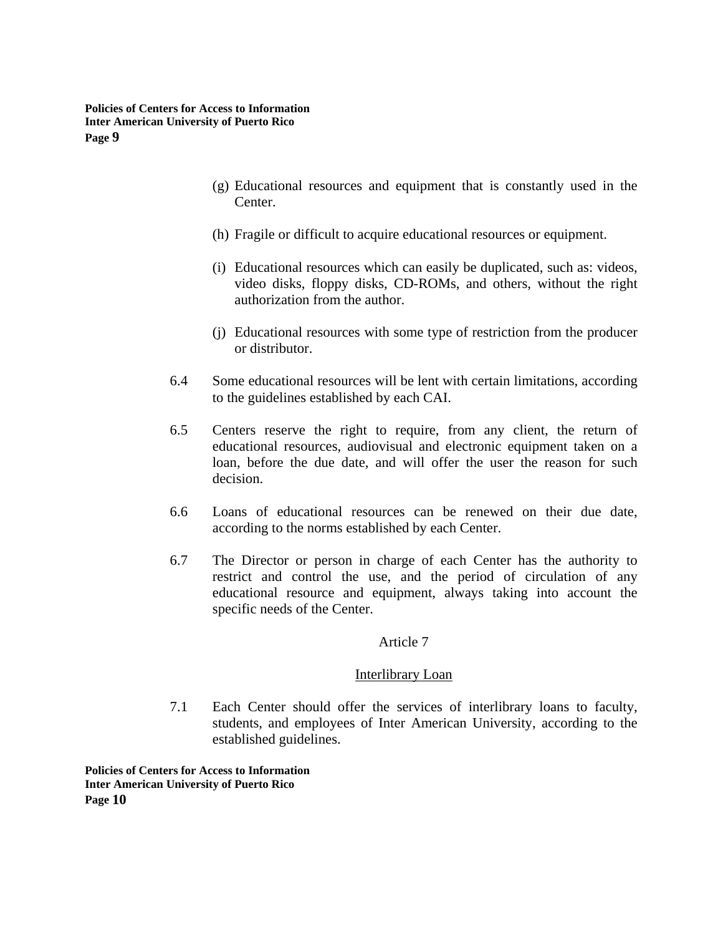- (g) Educational resources and equipment that is constantly used in the Center.
- (h) Fragile or difficult to acquire educational resources or equipment.
- (i) Educational resources which can easily be duplicated, such as: videos, video disks, floppy disks, CD-ROMs, and others, without the right authorization from the author.
- (j) Educational resources with some type of restriction from the producer or distributor.
- 6.4 Some educational resources will be lent with certain limitations, according to the guidelines established by each CAI.
- 6.5 Centers reserve the right to require, from any client, the return of educational resources, audiovisual and electronic equipment taken on a loan, before the due date, and will offer the user the reason for such decision.
- 6.6 Loans of educational resources can be renewed on their due date, according to the norms established by each Center.
- 6.7 The Director or person in charge of each Center has the authority to restrict and control the use, and the period of circulation of any educational resource and equipment, always taking into account the specific needs of the Center.

## Article 7

# Interlibrary Loan

7.1 Each Center should offer the services of interlibrary loans to faculty, students, and employees of Inter American University, according to the established guidelines.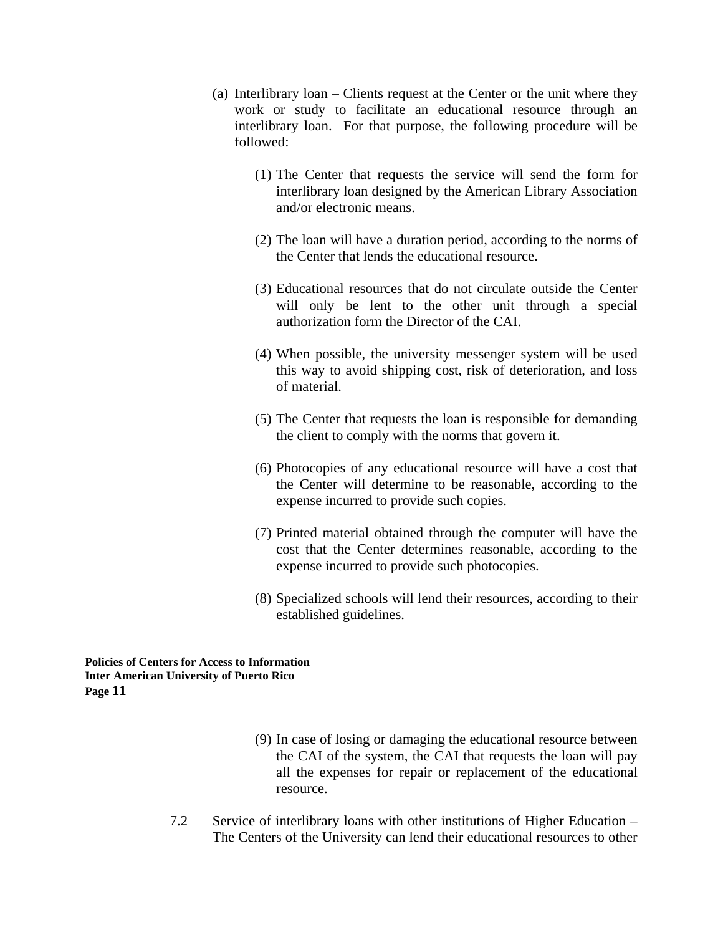- (a) Interlibrary loan Clients request at the Center or the unit where they work or study to facilitate an educational resource through an interlibrary loan. For that purpose, the following procedure will be followed:
	- (1) The Center that requests the service will send the form for interlibrary loan designed by the American Library Association and/or electronic means.
	- (2) The loan will have a duration period, according to the norms of the Center that lends the educational resource.
	- (3) Educational resources that do not circulate outside the Center will only be lent to the other unit through a special authorization form the Director of the CAI.
	- (4) When possible, the university messenger system will be used this way to avoid shipping cost, risk of deterioration, and loss of material.
	- (5) The Center that requests the loan is responsible for demanding the client to comply with the norms that govern it.
	- (6) Photocopies of any educational resource will have a cost that the Center will determine to be reasonable, according to the expense incurred to provide such copies.
	- (7) Printed material obtained through the computer will have the cost that the Center determines reasonable, according to the expense incurred to provide such photocopies.
	- (8) Specialized schools will lend their resources, according to their established guidelines.

- (9) In case of losing or damaging the educational resource between the CAI of the system, the CAI that requests the loan will pay all the expenses for repair or replacement of the educational resource.
- 7.2 Service of interlibrary loans with other institutions of Higher Education The Centers of the University can lend their educational resources to other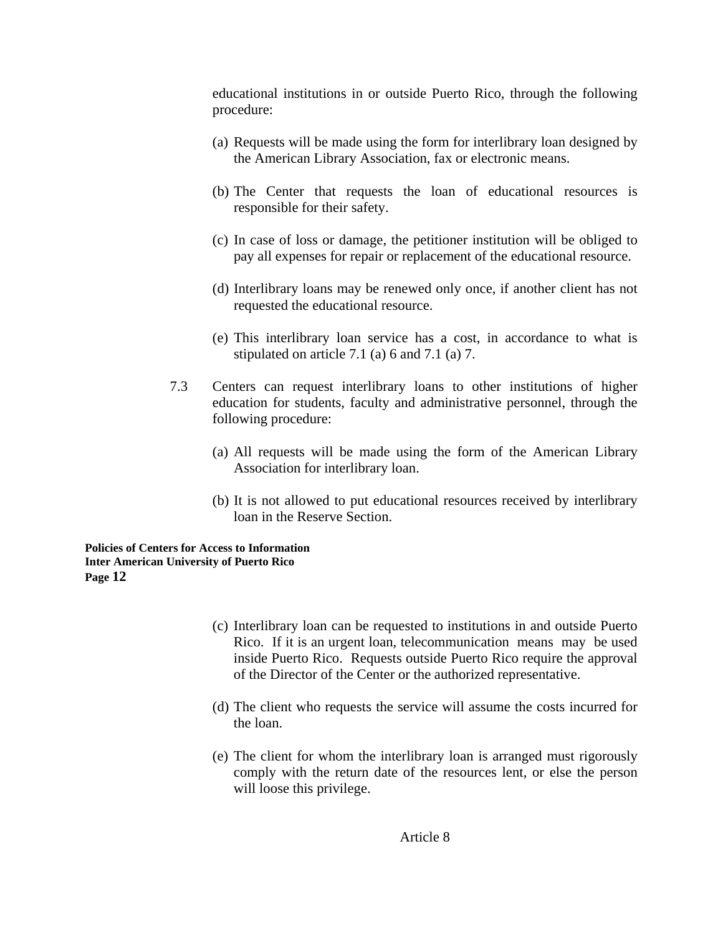educational institutions in or outside Puerto Rico, through the following procedure:

- (a) Requests will be made using the form for interlibrary loan designed by the American Library Association, fax or electronic means.
- (b) The Center that requests the loan of educational resources is responsible for their safety.
- (c) In case of loss or damage, the petitioner institution will be obliged to pay all expenses for repair or replacement of the educational resource.
- (d) Interlibrary loans may be renewed only once, if another client has not requested the educational resource.
- (e) This interlibrary loan service has a cost, in accordance to what is stipulated on article 7.1 (a) 6 and 7.1 (a) 7.
- 7.3 Centers can request interlibrary loans to other institutions of higher education for students, faculty and administrative personnel, through the following procedure:
	- (a) All requests will be made using the form of the American Library Association for interlibrary loan.
	- (b) It is not allowed to put educational resources received by interlibrary loan in the Reserve Section.

- (c) Interlibrary loan can be requested to institutions in and outside Puerto Rico. If it is an urgent loan, telecommunication means may be used inside Puerto Rico. Requests outside Puerto Rico require the approval of the Director of the Center or the authorized representative.
- (d) The client who requests the service will assume the costs incurred for the loan.
- (e) The client for whom the interlibrary loan is arranged must rigorously comply with the return date of the resources lent, or else the person will loose this privilege.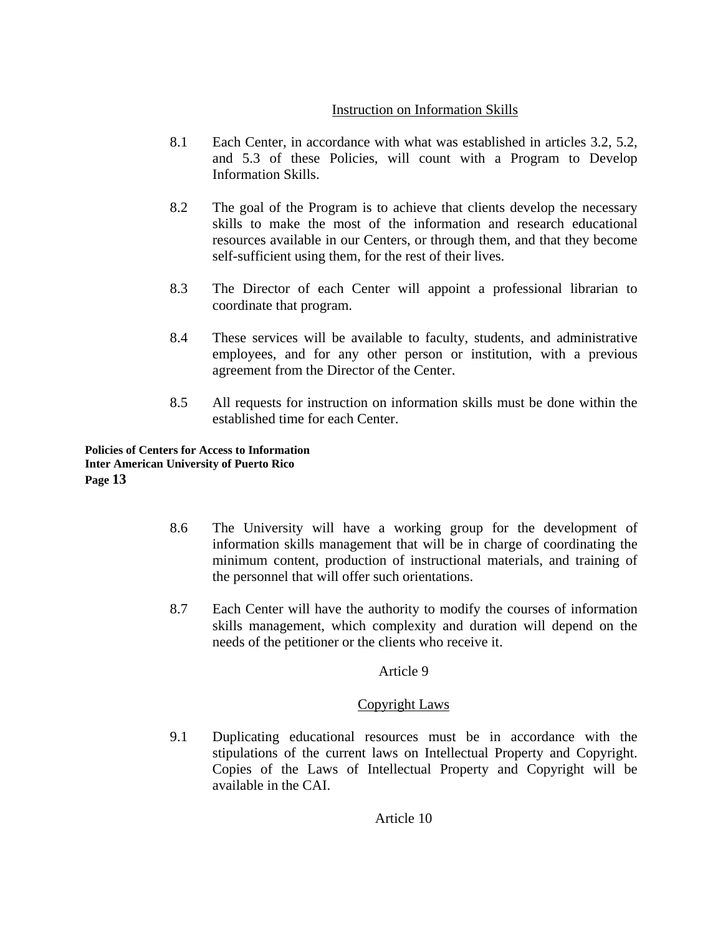# Instruction on Information Skills

- 8.1 Each Center, in accordance with what was established in articles 3.2, 5.2, and 5.3 of these Policies, will count with a Program to Develop Information Skills.
- 8.2 The goal of the Program is to achieve that clients develop the necessary skills to make the most of the information and research educational resources available in our Centers, or through them, and that they become self-sufficient using them, for the rest of their lives.
- 8.3 The Director of each Center will appoint a professional librarian to coordinate that program.
- 8.4 These services will be available to faculty, students, and administrative employees, and for any other person or institution, with a previous agreement from the Director of the Center.
- 8.5 All requests for instruction on information skills must be done within the established time for each Center.

**Policies of Centers for Access to Information Inter American University of Puerto Rico Page 13** 

- 8.6 The University will have a working group for the development of information skills management that will be in charge of coordinating the minimum content, production of instructional materials, and training of the personnel that will offer such orientations.
- 8.7 Each Center will have the authority to modify the courses of information skills management, which complexity and duration will depend on the needs of the petitioner or the clients who receive it.

# Article 9

# Copyright Laws

9.1 Duplicating educational resources must be in accordance with the stipulations of the current laws on Intellectual Property and Copyright. Copies of the Laws of Intellectual Property and Copyright will be available in the CAI.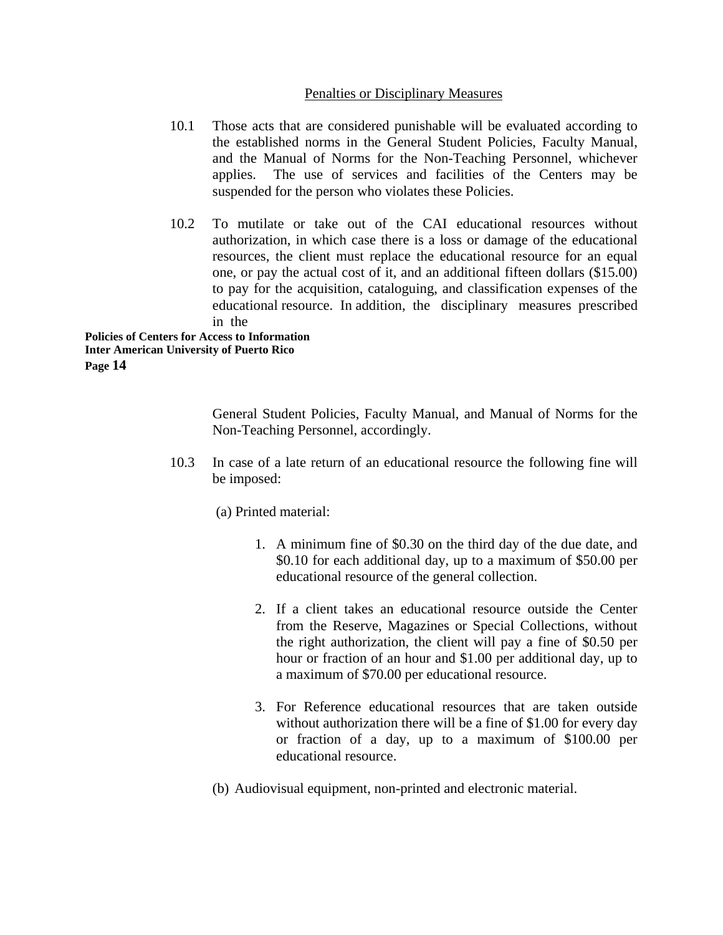# Penalties or Disciplinary Measures

- 10.1 Those acts that are considered punishable will be evaluated according to the established norms in the General Student Policies, Faculty Manual, and the Manual of Norms for the Non-Teaching Personnel, whichever applies. The use of services and facilities of the Centers may be suspended for the person who violates these Policies.
- 10.2 To mutilate or take out of the CAI educational resources without authorization, in which case there is a loss or damage of the educational resources, the client must replace the educational resource for an equal one, or pay the actual cost of it, and an additional fifteen dollars (\$15.00) to pay for the acquisition, cataloguing, and classification expenses of the educational resource. In addition, the disciplinary measures prescribed in the

**Policies of Centers for Access to Information Inter American University of Puerto Rico Page 14** 

> General Student Policies, Faculty Manual, and Manual of Norms for the Non-Teaching Personnel, accordingly.

10.3 In case of a late return of an educational resource the following fine will be imposed:

(a) Printed material:

- 1. A minimum fine of \$0.30 on the third day of the due date, and \$0.10 for each additional day, up to a maximum of \$50.00 per educational resource of the general collection.
- 2. If a client takes an educational resource outside the Center from the Reserve, Magazines or Special Collections, without the right authorization, the client will pay a fine of \$0.50 per hour or fraction of an hour and \$1.00 per additional day, up to a maximum of \$70.00 per educational resource.
- 3. For Reference educational resources that are taken outside without authorization there will be a fine of \$1.00 for every day or fraction of a day, up to a maximum of \$100.00 per educational resource.
- (b) Audiovisual equipment, non-printed and electronic material.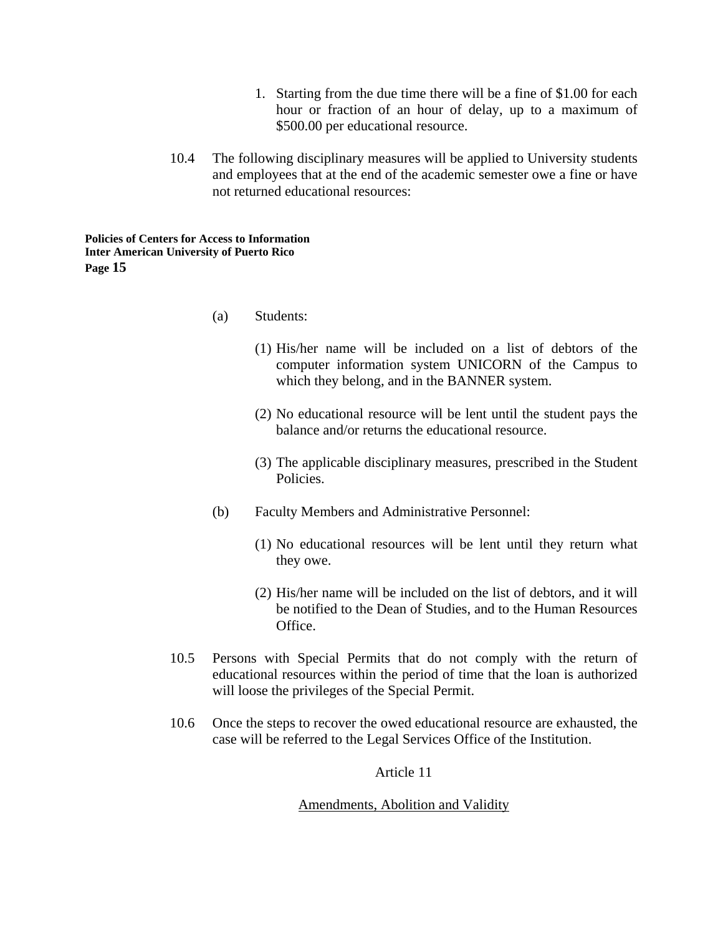- 1. Starting from the due time there will be a fine of \$1.00 for each hour or fraction of an hour of delay, up to a maximum of \$500.00 per educational resource.
- 10.4 The following disciplinary measures will be applied to University students and employees that at the end of the academic semester owe a fine or have not returned educational resources:

- (a) Students:
	- (1) His/her name will be included on a list of debtors of the computer information system UNICORN of the Campus to which they belong, and in the BANNER system.
	- (2) No educational resource will be lent until the student pays the balance and/or returns the educational resource.
	- (3) The applicable disciplinary measures, prescribed in the Student Policies.
- (b) Faculty Members and Administrative Personnel:
	- (1) No educational resources will be lent until they return what they owe.
	- (2) His/her name will be included on the list of debtors, and it will be notified to the Dean of Studies, and to the Human Resources Office.
- 10.5 Persons with Special Permits that do not comply with the return of educational resources within the period of time that the loan is authorized will loose the privileges of the Special Permit.
- 10.6 Once the steps to recover the owed educational resource are exhausted, the case will be referred to the Legal Services Office of the Institution.

Article 11

## Amendments, Abolition and Validity